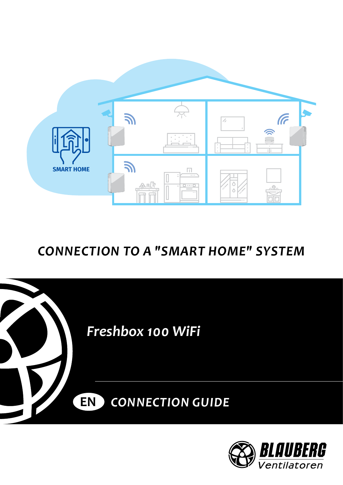

# *Connection to a "Smart Home" system*



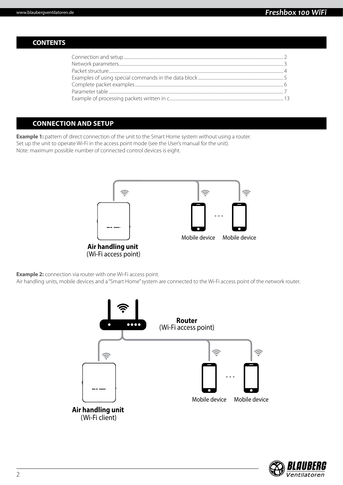## **CONTENTS**

## **CONNECTION AND SETUP**

**Example 1:** pattern of direct connection of the unit to the Smart Home system without using a router. Set up the unit to operate Wi-Fi in the access point mode (see the User's manual for the unit). Note: maximum possible number of connected control devices is eight.



**Example 2:** connection via router with one Wi-Fi access point.

Air handling units, mobile devices and a "Smart Home" system are connected to the Wi-Fi access point of the network router.



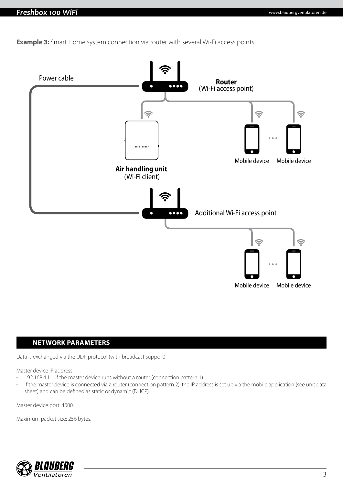<span id="page-2-0"></span>**Example 3:** Smart Home system connection via router with several Wi-Fi access points.



### **NETWORK PARAMETERS**

Data is exchanged via the UDP protocol (with broadcast support).

Master device IP address:

- 192.168.4.1 if the master device runs without a router (connection pattern 1).
- If the master device is connected via a router (connection pattern 2), the IP address is set up via the mobile application (see unit data sheet) and can be defined as static or dynamic (DHCP).

Master device port: 4000.

Maximum packet size: 256 bytes.

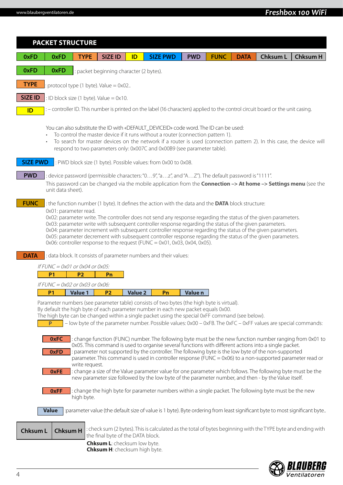<span id="page-3-0"></span>

|                                                                                                                                                                                                                                                                                                                                                                                                                                                                                 | <b>PACKET STRUCTURE</b>                                                                                                                                                                                                                                                                                                                                                                                                                                                          |             |                                            |    |                                                                                                                                                                                                                                                                                                                                                                                                                                                                                                                                                                                                                                                                                                                                     |            |             |             |                 |                 |
|---------------------------------------------------------------------------------------------------------------------------------------------------------------------------------------------------------------------------------------------------------------------------------------------------------------------------------------------------------------------------------------------------------------------------------------------------------------------------------|----------------------------------------------------------------------------------------------------------------------------------------------------------------------------------------------------------------------------------------------------------------------------------------------------------------------------------------------------------------------------------------------------------------------------------------------------------------------------------|-------------|--------------------------------------------|----|-------------------------------------------------------------------------------------------------------------------------------------------------------------------------------------------------------------------------------------------------------------------------------------------------------------------------------------------------------------------------------------------------------------------------------------------------------------------------------------------------------------------------------------------------------------------------------------------------------------------------------------------------------------------------------------------------------------------------------------|------------|-------------|-------------|-----------------|-----------------|
| 0xFD                                                                                                                                                                                                                                                                                                                                                                                                                                                                            | 0xFD                                                                                                                                                                                                                                                                                                                                                                                                                                                                             | <b>TYPE</b> | <b>SIZE ID</b>                             | ID | <b>SIZE PWD</b>                                                                                                                                                                                                                                                                                                                                                                                                                                                                                                                                                                                                                                                                                                                     | <b>PWD</b> | <b>FUNC</b> | <b>DATA</b> | <b>Chksum L</b> | <b>Chksum H</b> |
| 0xFD                                                                                                                                                                                                                                                                                                                                                                                                                                                                            | <b>OxFD</b>                                                                                                                                                                                                                                                                                                                                                                                                                                                                      |             | : packet beginning character (2 bytes).    |    |                                                                                                                                                                                                                                                                                                                                                                                                                                                                                                                                                                                                                                                                                                                                     |            |             |             |                 |                 |
| <b>TYPE</b>                                                                                                                                                                                                                                                                                                                                                                                                                                                                     | : protocol type (1 byte). Value = $0x02$                                                                                                                                                                                                                                                                                                                                                                                                                                         |             |                                            |    |                                                                                                                                                                                                                                                                                                                                                                                                                                                                                                                                                                                                                                                                                                                                     |            |             |             |                 |                 |
| <b>SIZE ID</b>                                                                                                                                                                                                                                                                                                                                                                                                                                                                  |                                                                                                                                                                                                                                                                                                                                                                                                                                                                                  |             | : ID block size (1 byte). Value = $0x10$ . |    |                                                                                                                                                                                                                                                                                                                                                                                                                                                                                                                                                                                                                                                                                                                                     |            |             |             |                 |                 |
| ID                                                                                                                                                                                                                                                                                                                                                                                                                                                                              |                                                                                                                                                                                                                                                                                                                                                                                                                                                                                  |             |                                            |    | : – controller ID. This number is printed on the label (16 characters) applied to the control circuit board or the unit casing.                                                                                                                                                                                                                                                                                                                                                                                                                                                                                                                                                                                                     |            |             |             |                 |                 |
|                                                                                                                                                                                                                                                                                                                                                                                                                                                                                 |                                                                                                                                                                                                                                                                                                                                                                                                                                                                                  |             |                                            |    | You can also substitute the ID with «DEFAULT_DEVICEID» code word. The ID can be used:<br>To control the master device if it runs without a router (connection pattern 1).<br>To search for master devices on the network if a router is used (connection pattern 2). In this case, the device will<br>respond to two parameters only: 0x007C and 0x00B9 (see parameter table).                                                                                                                                                                                                                                                                                                                                                      |            |             |             |                 |                 |
| <b>SIZE PWD</b>                                                                                                                                                                                                                                                                                                                                                                                                                                                                 |                                                                                                                                                                                                                                                                                                                                                                                                                                                                                  |             |                                            |    | : PWD block size (1 byte). Possible values: from 0x00 to 0x08.                                                                                                                                                                                                                                                                                                                                                                                                                                                                                                                                                                                                                                                                      |            |             |             |                 |                 |
| <b>PWD</b>                                                                                                                                                                                                                                                                                                                                                                                                                                                                      | unit data sheet).                                                                                                                                                                                                                                                                                                                                                                                                                                                                |             |                                            |    | : device password (permissible characters: "09", "az", and "AZ"). The default password is "1111".<br>This password can be changed via the mobile application from the <b>Connection -&gt; At home -&gt; Settings menu</b> (see the                                                                                                                                                                                                                                                                                                                                                                                                                                                                                                  |            |             |             |                 |                 |
| <b>FUNC</b><br><b>DATA</b>                                                                                                                                                                                                                                                                                                                                                                                                                                                      | 0x01: parameter read.                                                                                                                                                                                                                                                                                                                                                                                                                                                            |             |                                            |    | : the function number (1 byte). It defines the action with the data and the <b>DATA</b> block structure:<br>0x02: parameter write. The controller does not send any response regarding the status of the given parameters.<br>0x03: parameter write with subsequent controller response regarding the status of the given parameters.<br>0x04: parameter increment with subsequent controller response regarding the status of the given parameters.<br>0x05: parameter decrement with subsequent controller response regarding the status of the given parameters.<br>$0x06$ : controller response to the request (FUNC = $0x01$ , $0x03$ , $0x04$ , $0x05$ ).<br>: data block. It consists of parameter numbers and their values: |            |             |             |                 |                 |
|                                                                                                                                                                                                                                                                                                                                                                                                                                                                                 | If FUNC = $0x01$ or $0x04$ or $0x05$ :                                                                                                                                                                                                                                                                                                                                                                                                                                           |             |                                            |    |                                                                                                                                                                                                                                                                                                                                                                                                                                                                                                                                                                                                                                                                                                                                     |            |             |             |                 |                 |
|                                                                                                                                                                                                                                                                                                                                                                                                                                                                                 | <b>P1</b>                                                                                                                                                                                                                                                                                                                                                                                                                                                                        | <b>P2</b>   | Pn                                         |    |                                                                                                                                                                                                                                                                                                                                                                                                                                                                                                                                                                                                                                                                                                                                     |            |             |             |                 |                 |
|                                                                                                                                                                                                                                                                                                                                                                                                                                                                                 | If FUNC = $0x02$ or $0x03$ or $0x06$ :                                                                                                                                                                                                                                                                                                                                                                                                                                           |             |                                            |    |                                                                                                                                                                                                                                                                                                                                                                                                                                                                                                                                                                                                                                                                                                                                     |            |             |             |                 |                 |
|                                                                                                                                                                                                                                                                                                                                                                                                                                                                                 | <b>P1</b><br>Value 1<br><b>Value 2</b><br>Value n<br><b>P2</b><br>Pn<br>Parameter numbers (see parameter table) consists of two bytes (the high byte is virtual).<br>By default the high byte of each parameter number in each new packet equals 0x00.<br>The high byte can be changed within a single packet using the special 0xFF command (see below).<br>- low byte of the parameter number. Possible values: 0x00 - 0xFB. The 0xFC - 0xFF values are special commands:<br>P |             |                                            |    |                                                                                                                                                                                                                                                                                                                                                                                                                                                                                                                                                                                                                                                                                                                                     |            |             |             |                 |                 |
| : change function (FUNC) number. The following byte must be the new function number ranging from 0x01 to<br><b>OxFC</b><br>0x05. This command is used to organise several functions with different actions into a single packet.<br>: parameter not supported by the controller. The following byte is the low byte of the non-supported<br>0xFD<br>parameter. This command is used in controller response (FUNC = 0x06) to a non-supported parameter read or<br>write request. |                                                                                                                                                                                                                                                                                                                                                                                                                                                                                  |             |                                            |    |                                                                                                                                                                                                                                                                                                                                                                                                                                                                                                                                                                                                                                                                                                                                     |            |             |             |                 |                 |
| : change a size of the Value parameter value for one parameter which follows. The following byte must be the<br><b>OxFE</b><br>new parameter size followed by the low byte of the parameter number, and then - by the Value itself.                                                                                                                                                                                                                                             |                                                                                                                                                                                                                                                                                                                                                                                                                                                                                  |             |                                            |    |                                                                                                                                                                                                                                                                                                                                                                                                                                                                                                                                                                                                                                                                                                                                     |            |             |             |                 |                 |
| : change the high byte for parameter numbers within a single packet. The following byte must be the new<br><b>OxFF</b><br>high byte.                                                                                                                                                                                                                                                                                                                                            |                                                                                                                                                                                                                                                                                                                                                                                                                                                                                  |             |                                            |    |                                                                                                                                                                                                                                                                                                                                                                                                                                                                                                                                                                                                                                                                                                                                     |            |             |             |                 |                 |
| :parameter value (the default size of value is 1 byte). Byte ordering from least significant byte to most significant byte<br><b>Value</b>                                                                                                                                                                                                                                                                                                                                      |                                                                                                                                                                                                                                                                                                                                                                                                                                                                                  |             |                                            |    |                                                                                                                                                                                                                                                                                                                                                                                                                                                                                                                                                                                                                                                                                                                                     |            |             |             |                 |                 |
| <b>Chksum L</b>                                                                                                                                                                                                                                                                                                                                                                                                                                                                 | <b>Chksum H</b>                                                                                                                                                                                                                                                                                                                                                                                                                                                                  |             | the final byte of the DATA block.          |    | : check sum (2 bytes). This is calculated as the total of bytes beginning with the TYPE byte and ending with                                                                                                                                                                                                                                                                                                                                                                                                                                                                                                                                                                                                                        |            |             |             |                 |                 |
|                                                                                                                                                                                                                                                                                                                                                                                                                                                                                 | <b>Chksum L:</b> checksum low byte.<br><b>Chksum H:</b> checksum high byte.                                                                                                                                                                                                                                                                                                                                                                                                      |             |                                            |    |                                                                                                                                                                                                                                                                                                                                                                                                                                                                                                                                                                                                                                                                                                                                     |            |             |             |                 |                 |

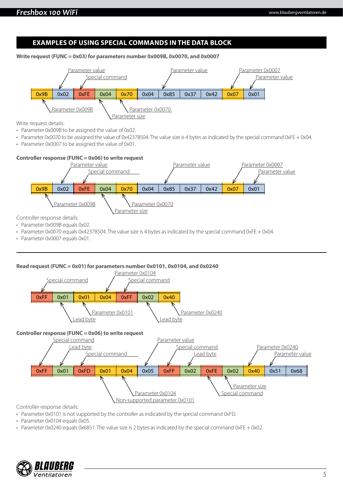## <span id="page-4-0"></span>**EXAMPLES OF USING SPECIAL COMMANDS IN THE DATA BLOCK**

#### **Write request (FUNC = 0x03) for parameters number 0x009B, 0x0070, and 0x0007**



Write request details:

- Parameter 0x009B to be assigned the value of 0x02.
- Parameter 0x0070 to be assigned the value of 0x42378504. The value size is 4 bytes as indicated by the special command 0xFE + 0x04.
- Parameter 0x0007 to be assigned the value of 0x01.

#### **Controller response (FUNC = 0x06) to write request**



Controller response details:

- Parameter 0x009B equals 0x02.
- Parameter 0x0070 equals 0x42378504. The value size is 4 bytes as indicated by the special command 0xFE + 0x04.
- Parameter 0x0007 equals 0x01.

#### **Read request (FUNC = 0x01) for parameters number 0x0101, 0x0104, and 0x0240**



Controller response details:

- Parameter 0x0101 is not supported by the controller as indicated by the special command 0xFD.
- Parameter 0x0104 equals 0x05.
- Parameter 0x0240 equals 0x6851. The value size is 2 bytes as indicated by the special command 0xFE + 0x02.

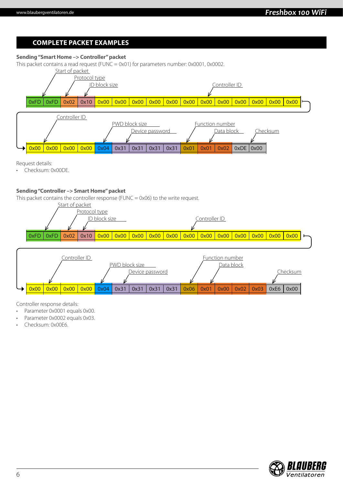## <span id="page-5-0"></span>**COMPLETE PACKET EXAMPLES**

#### **Sending "Smart Home –> Controller" packet**

This packet contains a read request (FUNC = 0x01) for parameters number: 0x0001, 0x0002.





Request details:

• Checksum: 0x00DE.

#### **Sending "Controller –> Smart Home" packet**

This packet contains the controller response (FUNC =  $0x06$ ) to the write request.





Controller response details:

- Parameter 0x0001 equals 0x00.
- Parameter 0x0002 equals 0x03.
- Checksum: 0x00E6.

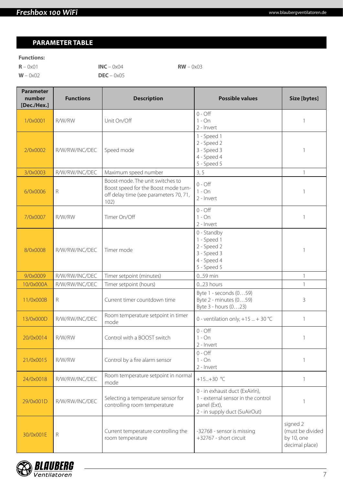# <span id="page-6-0"></span>**PARAMETER TABLE**

#### **Functions:**

| $\mathsf{IV}$ $\mathsf{I}$ |
|----------------------------|
|                            |

**INC** – 0x04 **RW** – 0x03

**W** – 0x02 **DEC** – 0x05

| <b>Parameter</b><br>number<br>[Dec./Hex.] | <b>Functions</b> | <b>Description</b>                                                                                                         | <b>Possible values</b>                                                                                                | Size [bytes]                                                 |
|-------------------------------------------|------------------|----------------------------------------------------------------------------------------------------------------------------|-----------------------------------------------------------------------------------------------------------------------|--------------------------------------------------------------|
| 1/0x0001                                  | R/W/RW           | Unit On/Off                                                                                                                | $0 - \bigcirc f$<br>$1 - On$<br>2 - Invert                                                                            |                                                              |
| 2/0x0002                                  | R/W/RW/INC/DEC   | Speed mode                                                                                                                 | 1 - Speed 1<br>2 - Speed 2<br>3 - Speed 3<br>4 - Speed 4<br>5 - Speed 5                                               |                                                              |
| 3/0x0003                                  | R/W/RW/INC/DEC   | Maximum speed number                                                                                                       | 3, 5                                                                                                                  | 1                                                            |
| 6/0x0006                                  | R                | Boost-mode. The unit switches to<br>Boost speed for the Boost mode turn-<br>off delay time (see parameters 70, 71,<br>102) | $0 - \bigcirc$<br>$1 - On$<br>2 - Invert                                                                              |                                                              |
| 7/0x0007                                  | R/W/RW           | Timer On/Off                                                                                                               | $0 - \bigcirc f$<br>$1 - On$<br>2 - Invert                                                                            |                                                              |
| 8/0x0008                                  | R/W/RW/INC/DEC   | Timer mode                                                                                                                 | 0 - Standby<br>1 - Speed 1<br>2 - Speed 2<br>3 - Speed 3<br>4 - Speed 4<br>5 - Speed 5                                | 1                                                            |
| 9/0x0009                                  | R/W/RW/INC/DEC   | Timer setpoint (minutes)                                                                                                   | 059 min                                                                                                               | 1                                                            |
| 10/0x000A                                 | R/W/RW/INC/DEC   | Timer setpoint (hours)                                                                                                     | 023 hours                                                                                                             | 1                                                            |
| 11/0x000B                                 | R                | Current timer countdown time                                                                                               | Byte 1 - seconds (059)<br>Byte 2 - minutes (059)<br>Byte 3 - hours (023)                                              | 3                                                            |
| 13/0x000D                                 | R/W/RW/INC/DEC   | Room temperature setpoint in timer<br>mode                                                                                 | 0 - ventilation only, $+15$ + 30 °C                                                                                   | 1                                                            |
| 20/0x0014                                 | R/W/RW           | Control with a BOOST switch                                                                                                | $0 - \bigcirc f$<br>$1 - On$<br>2 - Invert                                                                            | 1                                                            |
| 21/0x0015                                 | R/W/RW           | Control by a fire alarm sensor                                                                                             | $0 - \mathrm{Off}$<br>$1 - On$<br>2 - Invert                                                                          | 1                                                            |
| 24/0x0018                                 | R/W/RW/INC/DEC   | Room temperature setpoint in normal<br>mode                                                                                | +15+30 $°C$                                                                                                           | $\mathbf{1}$                                                 |
| 29/0x001D                                 | R/W/RW/INC/DEC   | Selecting a temperature sensor for<br>controlling room temperature                                                         | 0 - in exhaust duct (ExAirln),<br>1 - external sensor in the control<br>panel (Ext),<br>2 - in supply duct (SuAirOut) |                                                              |
| 30/0x001E                                 | R                | Current temperature controlling the<br>room temperature                                                                    | -32768 - sensor is missing<br>+32767 - short circuit                                                                  | signed 2<br>(must be divided<br>by 10, one<br>decimal place) |

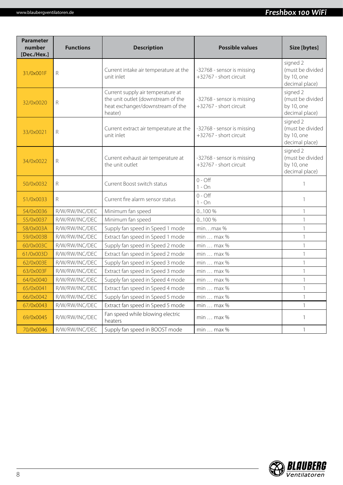| <b>Parameter</b><br>number<br>[Dec./Hex.] | <b>Functions</b> | <b>Description</b>                                                                                                     | <b>Possible values</b>                               | Size [bytes]                                                 |
|-------------------------------------------|------------------|------------------------------------------------------------------------------------------------------------------------|------------------------------------------------------|--------------------------------------------------------------|
| 31/0x001F                                 | $\mathsf R$      | Current intake air temperature at the<br>unit inlet                                                                    | -32768 - sensor is missing<br>+32767 - short circuit | signed 2<br>(must be divided<br>by 10, one<br>decimal place) |
| 32/0x0020                                 | $\mathsf R$      | Current supply air temperature at<br>the unit outlet (downstream of the<br>heat exchanger/downstream of the<br>heater) | -32768 - sensor is missing<br>+32767 - short circuit | signed 2<br>(must be divided<br>by 10, one<br>decimal place) |
| 33/0x0021                                 | $\mathsf R$      | Current extract air temperature at the<br>unit inlet                                                                   | -32768 - sensor is missing<br>+32767 - short circuit | signed 2<br>(must be divided<br>by 10, one<br>decimal place) |
| 34/0x0022                                 | $\mathsf{R}$     | Current exhaust air temperature at<br>the unit outlet                                                                  | -32768 - sensor is missing<br>+32767 - short circuit | signed 2<br>(must be divided<br>by 10, one<br>decimal place) |
| 50/0x0032                                 | R                | Current Boost switch status                                                                                            | $0 - \bigcirc$<br>$1 - On$                           | $\mathbf{1}$                                                 |
| 51/0x0033                                 | $\mathsf{R}$     | Current fire alarm sensor status                                                                                       | $0 - \bigcirc f$<br>$1 - On$                         | $\mathbf{1}$                                                 |
| 54/0x0036                                 | R/W/RW/INC/DEC   | Minimum fan speed                                                                                                      | 0100 %                                               | 1                                                            |
| 55/0x0037                                 | R/W/RW/INC/DEC   | Minimum fan speed                                                                                                      | $0100\%$                                             | $\mathbf{1}$                                                 |
| 58/0x003A                                 | R/W/RW/INC/DEC   | Supply fan speed in Speed 1 mode                                                                                       | $minmax$ %                                           | $\mathbf{1}$                                                 |
| 59/0x003B                                 | R/W/RW/INC/DEC   | Extract fan speed in Speed 1 mode                                                                                      | $minmax\%$                                           | 1                                                            |
| 60/0x003C                                 | R/W/RW/INC/DEC   | Supply fan speed in Speed 2 mode                                                                                       | $minmax$ %                                           | $\mathbf{1}$                                                 |
| 61/0x003D                                 | R/W/RW/INC/DEC   | Extract fan speed in Speed 2 mode                                                                                      | $minmax$ %                                           | $\mathbf{1}$                                                 |
| 62/0x003E                                 | R/W/RW/INC/DEC   | Supply fan speed in Speed 3 mode                                                                                       | $minmax$ %                                           | $\mathbf{1}$                                                 |
| 63/0x003F                                 | R/W/RW/INC/DEC   | Extract fan speed in Speed 3 mode                                                                                      | $minmax$ %                                           | 1                                                            |
| 64/0x0040                                 | R/W/RW/INC/DEC   | Supply fan speed in Speed 4 mode                                                                                       | $minmax$ %                                           | $\mathbf{1}$                                                 |
| 65/0x0041                                 | R/W/RW/INC/DEC   | Extract fan speed in Speed 4 mode                                                                                      | $minmax$ %                                           | $\mathbf{1}$                                                 |
| 66/0x0042                                 | R/W/RW/INC/DEC   | Supply fan speed in Speed 5 mode                                                                                       | $minmax$ %                                           | $\mathbf{1}$                                                 |
| 67/0x0043                                 | R/W/RW/INC/DEC   | Extract fan speed in Speed 5 mode                                                                                      | $minmax$ %                                           | $\mathbf{1}$                                                 |
| 69/0x0045                                 | R/W/RW/INC/DEC   | Fan speed while blowing electric<br>heaters                                                                            | $minmax$ %                                           | 1                                                            |
| 70/0x0046                                 | R/W/RW/INC/DEC   | Supply fan speed in BOOST mode                                                                                         | $minmax$ %                                           | 1                                                            |

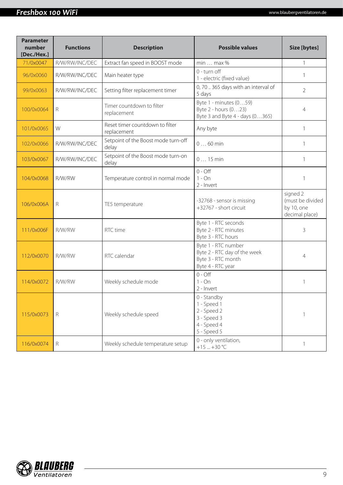| <b>Parameter</b><br>number<br>[Dec./Hex.] | <b>Functions</b> | <b>Description</b>                             | <b>Possible values</b>                                                                         | Size [bytes]                                                 |
|-------------------------------------------|------------------|------------------------------------------------|------------------------------------------------------------------------------------------------|--------------------------------------------------------------|
| 71/0x0047                                 | R/W/RW/INC/DEC   | Extract fan speed in BOOST mode                | $minmax$ %                                                                                     | $\mathbf{1}$                                                 |
| 96/0x0060                                 | R/W/RW/INC/DEC   | Main heater type                               | 0 - turn off<br>1 - electric (fixed value)                                                     | 1                                                            |
| 99/0x0063                                 | R/W/RW/INC/DEC   | Setting filter replacement timer               | 0,70  365 days with an interval of<br>5 days                                                   | 2                                                            |
| 100/0x0064                                | R                | Timer countdown to filter<br>replacement       | Byte $1$ - minutes $(059)$<br>Byte 2 - hours (023)<br>Byte 3 and Byte 4 - days (0365)          | 4                                                            |
| 101/0x0065                                | W                | Reset timer countdown to filter<br>replacement | Any byte                                                                                       | $\mathbf{1}$                                                 |
| 102/0x0066                                | R/W/RW/INC/DEC   | Setpoint of the Boost mode turn-off<br>delay   | $060$ min                                                                                      | $\mathbf{1}$                                                 |
| 103/0x0067                                | R/W/RW/INC/DEC   | Setpoint of the Boost mode turn-on<br>delay    | $015$ min                                                                                      | $\mathbf{1}$                                                 |
| 104/0x0068                                | R/W/RW           | Temperature control in normal mode             | $0 - \bigcirc f$<br>$1 - On$<br>2 - Invert                                                     | 1                                                            |
| 106/0x006A                                | R                | TE5 temperature                                | -32768 - sensor is missing<br>+32767 - short circuit                                           | signed 2<br>(must be divided<br>by 10, one<br>decimal place) |
| 111/0x006F                                | R/W/RW           | RTC time                                       | Byte 1 - RTC seconds<br>Byte 2 - RTC minutes<br>Byte 3 - RTC hours                             | 3                                                            |
| 112/0x0070                                | R/W/RW           | RTC calendar                                   | Byte 1 - RTC number<br>Byte 2 - RTC day of the week<br>Byte 3 - RTC month<br>Byte 4 - RTC year | 4                                                            |
| 114/0x0072                                | R/W/RW           | Weekly schedule mode                           | $0 - \mathrm{Off}$<br>$1 - On$<br>2 - Invert                                                   | 1                                                            |
| 115/0x0073                                | $\mathsf{R}$     | Weekly schedule speed                          | 0 - Standby<br>1 - Speed 1<br>2 - Speed 2<br>3 - Speed 3<br>4 - Speed 4<br>5 - Speed 5         | $\mathbf{1}$                                                 |
| 116/0x0074                                | $\mathsf R$      | Weekly schedule temperature setup              | 0 - only ventilation,<br>$+15$ $+30$ °C                                                        | 1                                                            |

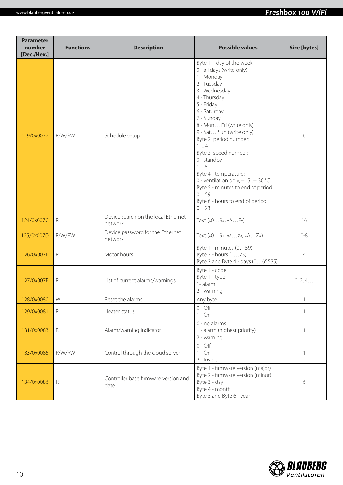| <b>Parameter</b><br>number<br>[Dec./Hex.] | <b>Functions</b> | <b>Description</b>                             | <b>Possible values</b>                                                                                                                                                                                                                                                                                                                                                                                                                                        | Size [bytes]   |
|-------------------------------------------|------------------|------------------------------------------------|---------------------------------------------------------------------------------------------------------------------------------------------------------------------------------------------------------------------------------------------------------------------------------------------------------------------------------------------------------------------------------------------------------------------------------------------------------------|----------------|
| 119/0x0077                                | R/W/RW           | Schedule setup                                 | Byte $1 - day$ of the week:<br>0 - all days (write only)<br>1 - Monday<br>2 - Tuesday<br>3 - Wednesday<br>4 - Thursday<br>5 - Friday<br>6 - Saturday<br>7 - Sunday<br>8 - Mon Fri (write only)<br>9 - Sat Sun (write only)<br>Byte 2 period number:<br>14<br>Byte 3 speed number:<br>$0$ - standby<br>15<br>Byte 4 - temperature:<br>0 - ventilation only, +15+ 30 °C<br>Byte 5 - minutes to end of period:<br>059<br>Byte 6 - hours to end of period:<br>023 | 6              |
| 124/0x007C                                | R                | Device search on the local Ethernet<br>network | Text («09», «AF»)                                                                                                                                                                                                                                                                                                                                                                                                                                             | 16             |
| 125/0x007D                                | R/W/RW           | Device password for the Ethernet<br>network    | Text $(\&0\ldots 9\%$ , «az», «AZ»)                                                                                                                                                                                                                                                                                                                                                                                                                           | $0 - 8$        |
| 126/0x007E                                | R                | Motor hours                                    | Byte 1 - minutes (059)<br>Byte 2 - hours (023)<br>Byte 3 and Byte 4 - days (065535)                                                                                                                                                                                                                                                                                                                                                                           | $\overline{4}$ |
| 127/0x007F                                | R                | List of current alarms/warnings                | Byte 1 - code<br>Byte 1 - type:<br>1-alarm<br>2 - warning                                                                                                                                                                                                                                                                                                                                                                                                     | 0, 2, 4        |
| 128/0x0080                                | W                | Reset the alarms                               | Any byte                                                                                                                                                                                                                                                                                                                                                                                                                                                      | 1              |
| 129/0x0081                                | R                | Heater status                                  | $0 - \bigcirc f$<br>$1 - On$                                                                                                                                                                                                                                                                                                                                                                                                                                  | 1              |
| 131/0x0083                                | R                | Alarm/warning indicator                        | 0 - no alarms<br>1 - alarm (highest priority)<br>2 - warning                                                                                                                                                                                                                                                                                                                                                                                                  | 1              |
| 133/0x0085                                | R/W/RW           | Control through the cloud server               | $0 - \bigcirc f$<br>$1 - On$<br>2 - Invert                                                                                                                                                                                                                                                                                                                                                                                                                    | 1              |
| 134/0x0086                                | $\mathsf{R}$     | Controller base firmware version and<br>date   | Byte 1 - firmware version (major)<br>Byte 2 - firmware version (minor)<br>Byte 3 - day<br>Byte 4 - month<br>Byte 5 and Byte 6 - year                                                                                                                                                                                                                                                                                                                          | 6              |

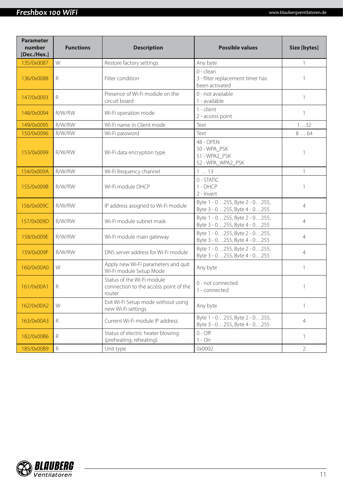| <b>Parameter</b><br>number<br>[Dec./Hex.] | <b>Functions</b> | <b>Description</b>                                                            | <b>Possible values</b>                                                 | Size [bytes]   |
|-------------------------------------------|------------------|-------------------------------------------------------------------------------|------------------------------------------------------------------------|----------------|
| 135/0x0087                                | W                | Restore factory settings                                                      | Any byte                                                               | 1              |
| 136/0x0088                                | R                | Filter condition                                                              | 0 - clean<br>3 - filter replacement timer has<br>been activated        |                |
| 147/0x0093                                | R                | Presence of Wi-Fi module on the<br>circuit board                              | 0 - not available<br>1 - available                                     | 1              |
| 148/0x0094                                | R/W/RW           | Wi-Fi operation mode                                                          | 1 - client<br>2 - access point                                         | $\mathbf{1}$   |
| 149/0x0095                                | R/W/RW           | Wi-Fi name in Client mode                                                     | Text                                                                   | 132            |
| 150/0x0096                                | R/W/RW           | Wi-Fi password                                                                | Text                                                                   | 864            |
| 153/0x0099                                | R/W/RW           | Wi-Fi data encryption type                                                    | <b>48 - OPEN</b><br>50 - WPA_PSK<br>51 - WPA2_PSK<br>52 - WPA_WPA2_PSK | 1              |
| 154/0x009A                                | R/W/RW           | Wi-Fi frequency channel                                                       | 113                                                                    | $\mathbf{1}$   |
| 155/0x009B                                | R/W/RW           | Wi-Fi module DHCP                                                             | 0 - STATIC<br>1 - DHCP<br>2 - Invert                                   |                |
| 156/0x009C                                | R/W/RW           | IP address assigned to Wi-Fi module                                           | Byte 1 - 0255, Byte 2 - 0255,<br>Byte 3 - 0255, Byte 4 - 0255          | $\overline{4}$ |
| 157/0x009D                                | R/W/RW           | Wi-Fi module subnet mask                                                      | Byte 1 - 0255, Byte 2 - 0255,<br>Byte 3 - 0255, Byte 4 - 0255          | $\overline{4}$ |
| 158/0x009E                                | R/W/RW           | Wi-Fi module main gateway                                                     | Byte 1 - 0255, Byte 2 - 0255,<br>Byte 3 - 0255, Byte 4 - 0255          | $\overline{4}$ |
| 159/0x009F                                | R/W/RW           | DNS server address for Wi-Fi module                                           | Byte 1 - 0255, Byte 2 - 0255,<br>Byte 3 - 0255, Byte 4 - 0255          | $\overline{4}$ |
| 160/0x00A0                                | W                | Apply new Wi-Fi parameters and quit<br>Wi-Fi module Setup Mode                | Any byte                                                               | $\mathbf{1}$   |
| 161/0x00A1                                | R                | Status of the Wi-Fi module<br>connection to the access point of the<br>router | 0 - not connected<br>1 - connected                                     | 1              |
| 162/0x00A2                                | W                | Exit Wi-Fi Setup mode without using<br>new Wi-Fi settings                     | Any byte                                                               | 1              |
| 163/0x00A3                                | R                | Current Wi-Fi module IP address                                               | Byte 1 - 0255, Byte 2 - 0255,<br>Byte 3 - 0255, Byte 4 - 0255          | $\overline{4}$ |
| 182/0x00B6                                | R                | Status of electric heater blowing<br>(preheating, reheating)                  | $0 - \bigcirc f$<br>$1 - On$                                           | 1              |
| 185/0x00B9                                | $\mathsf{R}$     | Unit type                                                                     | 0x0002                                                                 | $\overline{2}$ |

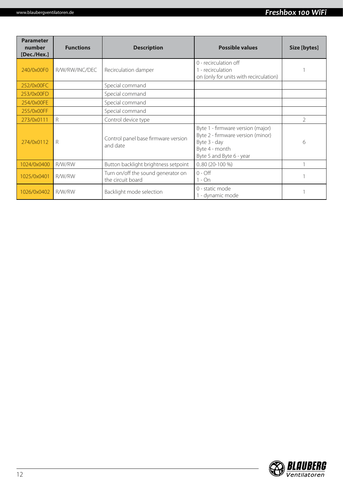| <b>Parameter</b><br>number<br>[Dec./Hex.] | <b>Functions</b> | <b>Description</b>                                      | <b>Possible values</b>                                                                                                               | Size [bytes]   |
|-------------------------------------------|------------------|---------------------------------------------------------|--------------------------------------------------------------------------------------------------------------------------------------|----------------|
| 240/0x00F0                                | R/W/RW/INC/DEC   | Recirculation damper                                    | 0 - recirculation off<br>1 - recirculation<br>on (only for units with recirculation)                                                 |                |
| 252/0x00FC                                |                  | Special command                                         |                                                                                                                                      |                |
| 253/0x00FD                                |                  | Special command                                         |                                                                                                                                      |                |
| 254/0x00FE                                |                  | Special command                                         |                                                                                                                                      |                |
| 255/0x00FF                                |                  | Special command                                         |                                                                                                                                      |                |
| 273/0x0111                                | R                | Control device type                                     |                                                                                                                                      | $\overline{2}$ |
| 274/0x0112                                | R                | Control panel base firmware version<br>and date         | Byte 1 - firmware version (major)<br>Byte 2 - firmware version (minor)<br>Byte 3 - day<br>Byte 4 - month<br>Byte 5 and Byte 6 - year | 6              |
| 1024/0x0400                               | R/W/RW           | Button backlight brightness setpoint                    | $0.80(20-100\%)$                                                                                                                     |                |
| 1025/0x0401                               | R/W/RW           | Turn on/off the sound generator on<br>the circuit board | $0 - \bigcirc f$<br>$1 - On$                                                                                                         |                |
| 1026/0x0402                               | R/W/RW           | Backlight mode selection                                | 0 - static mode<br>1 - dynamic mode                                                                                                  |                |

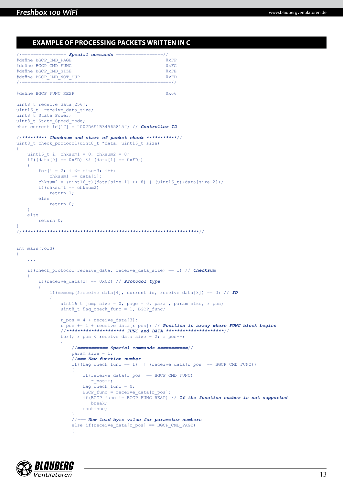## <span id="page-12-0"></span>**EXAMPLE OF PROCESSING PACKETS WRITTEN IN C**

```
//================ Special commands =================//
#define BGCP_CMD_PAGE 0xFF
#define BGCP_CMD_FUNC<br>#define BGCP_CMD_SIZE 0xFC 0xFE
#define BGCP CMD SIZE
#define BGCP_CMD_NOT_SUP 0xFD
//======================================================//
#define BGCP_FUNC_RESP 0x06
uint8 t receive data[256];
uint16 t receive data size;
uint8 t State Power;
uint8 t State Speed mode;
char current_id[17] = "002D6E1B34565815"; // Controller ID
//********* Checksum and start of packet check ***********//
uint8 t check protocol(uint8 t *data, uint16 t size)
{
    uint16_t i, chksum1 = 0, chksum2 = 0;
    if((data[0] == 0xFD) & (data[1] == 0xFD)) {
        for(i = 2; i <= size-3; i++)
           chksum1 += data[i];
        chksum2 = (uint16 t)(data[size-1] \langle \langle 8 \rangle | (uint16 t)(data[size-2]);
        if(chksum1 == chksum2)
            return 1;
         else
             return 0; 
\rightarrow \rightarrow else
         return 0;
}
//****************************************************************//
int main(void)
{
     ...
     if(check_protocol(receive_data, receive_data_size) == 1) // Checksum
\sim \sim \sim \sim \sim \simif(receive data[2] == 0x02) // Protocol type
         {
             if(memcmp(&receive_data[4], current_id, receive_data[3]) == 0) // ID
{f} and {f} and {f}uint16 t jump size = 0, page = 0, param, param size, r pos;
                uint8_t flag_check_func = 1, BGCP_func;
                r pos = 4 + receive data[3];
                 r_pos += 1 + receive_data[r_pos]; // Position in array where FUNC block begins
                  //********************* FUNC and DATA *********************//
                 for(; r_pos < receive data_size – 2; r_pos++)
{1 \over 2} (and {1 \over 2} ) and {1 \over 2} (b) and {1 \over 2} //=========== Special commands ===========//
                     param size = 1; //=== New function number
                     if((flag_check_func == 1) || (receive_data[r_pos] == BGCP_CMD_FUNC))
{1 \over 2} (and {1 \over 2} ) and {1 \over 2} (b) and {1 \over 2} (b) and {1 \over 2} if(receive_data[r_pos] == BGCP_CMD_FUNC)
                             r_pos++;
                         flag check func = 0;
                         BGCP func = receive data[r pos];
                          if(BGCP_func != BGCP_FUNC_RESP) // If the function number is not supported
                            break;
                          continue;
 }
                      //=== New lead byte value for parameter numbers
                     else if(receive data[r pos] == BGCP CMD PAGE)
{1 \over 2}
```
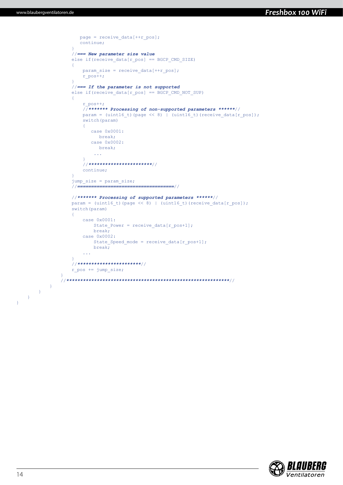}

 $\rightarrow$ }

}

 $\rightarrow$ 

```
page = receive data[++r\_pos];
                         continue;
 }
                      //=== New parameter size value
                      else if(receive_data[r_pos] == BGCP_CMD_SIZE)
{1 \over 2} param_size = receive_data[++r_pos];
                         r pos<sup>+</sup>;
 }
                      //=== If the parameter is not supported
                    else if(receive_data[r_pos] == BGCP_CMD_NOT_SUP)
{1 \over 2} and {1 \over 2} and {1 \over 2} and {1 \over 2} and {1 \over 2} and {1 \over 2} and {1 \over 2} r_pos++;
                          //******* Processing of non-supported parameters ******//
                         param = (uint16 t)(page \langle\langle 8\rangle | (uint16 t)(receive data[r pos]);
                          switch(param)
 {
                             case 0x0001:
                               break;
                             case 0x0002:
                               break;
 ...
 }
                          //***********************//
                      continue;
 }
                      jump_size = param_size;
                      //===================================//
                      //******* Processing of supported parameters ******//
                     param = (uint16 t)(page \langle\langle 8\rangle | (uint16 t)(receive data[r pos]);
                    switch(param)<br>{
{1 \over 2} and {1 \over 2} and {1 \over 2} and {1 \over 2} and {1 \over 2} and {1 \over 2} and {1 \over 2} case 0x0001:
                            State Power = receive_data[r\_pos+1];
                             break;
                          case 0x0002:
                              State_Speed_mode = receive_data[r_pos+1];
                             break;
 ...
 }
                      //***********************//
                      r_pos += jump_size;
                 //***********************************************************//
```
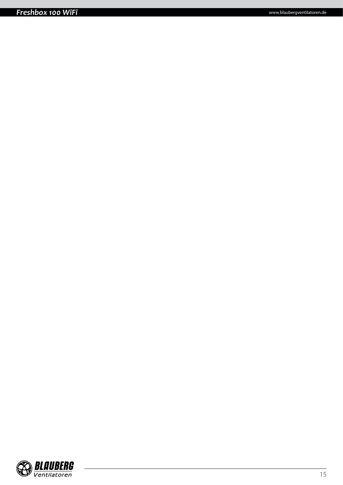